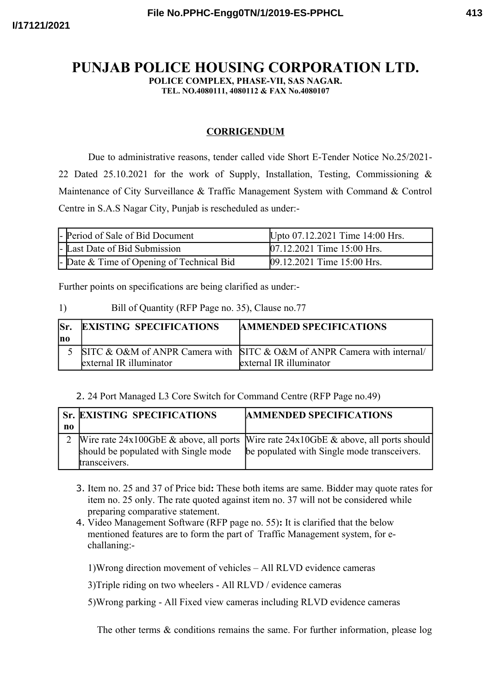## **PUNJAB POLICE HOUSING CORPORATION LTD.**

**POLICE COMPLEX, PHASE-VII, SAS NAGAR.**

**TEL. NO.4080111, 4080112 & FAX No.4080107**

## **CORRIGENDUM**

Due to administrative reasons, tender called vide Short E-Tender Notice No.25/2021- 22 Dated 25.10.2021 for the work of Supply, Installation, Testing, Commissioning & Maintenance of City Surveillance & Traffic Management System with Command & Control Centre in S.A.S Nagar City, Punjab is rescheduled as under:-

| - Period of Sale of Bid Document          | Upto 07.12.2021 Time 14:00 Hrs. |
|-------------------------------------------|---------------------------------|
| - Last Date of Bid Submission             | 07.12.2021 Time 15:00 Hrs.      |
| - Date & Time of Opening of Technical Bid | 09.12.2021 Time 15:00 Hrs.      |

Further points on specifications are being clarified as under:-

## 1) Bill of Quantity (RFP Page no. 35), Clause no.77

| lSr.<br>lno | <b>EXISTING SPECIFICATIONS</b> | <b>AMMENDED SPECIFICATIONS</b>                                                                     |
|-------------|--------------------------------|----------------------------------------------------------------------------------------------------|
|             | external IR illuminator        | SITC & O&M of ANPR Camera with SITC & O&M of ANPR Camera with internal/<br>external IR illuminator |

## 2. 24 Port Managed L3 Core Switch for Command Centre (RFP Page no.49)

|    | <b>Sr. EXISTING SPECIFICATIONS</b>   | <b>AMMENDED SPECIFICATIONS</b>                                                            |
|----|--------------------------------------|-------------------------------------------------------------------------------------------|
| no |                                      |                                                                                           |
|    |                                      | Wire rate $24x100GbE \&$ above, all ports Wire rate $24x10GbE \&$ above, all ports should |
|    | should be populated with Single mode | be populated with Single mode transceivers.                                               |
|    | transceivers.                        |                                                                                           |

- 3. Item no. 25 and 37 of Price bid**:** These both items are same. Bidder may quote rates for item no. 25 only. The rate quoted against item no. 37 will not be considered while preparing comparative statement.
- 4. Video Management Software (RFP page no. 55)**:** It is clarified that the below mentioned features are to form the part of Traffic Management system, for echallaning:-

1)Wrong direction movement of vehicles – All RLVD evidence cameras

3)Triple riding on two wheelers - All RLVD / evidence cameras

5)Wrong parking - All Fixed view cameras including RLVD evidence cameras

The other terms & conditions remains the same. For further information, please log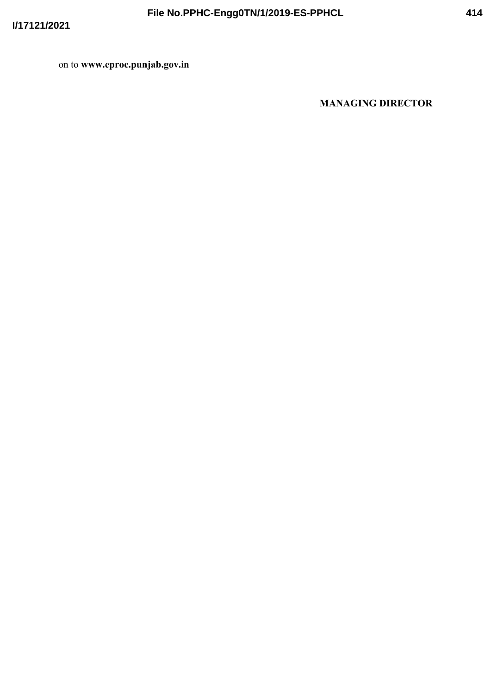on to www.eproc.punjab.gov.in

**MANAGING DIRECTOR**